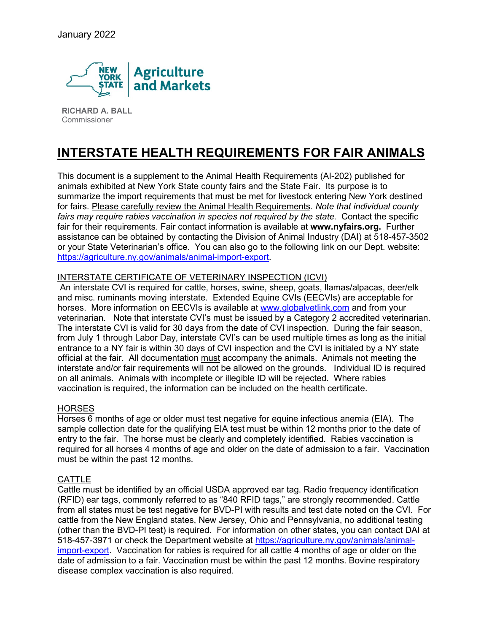

**RICHARD A. BALL**  Commissioner

# **INTERSTATE HEALTH REQUIREMENTS FOR FAIR ANIMALS**

This document is a supplement to the Animal Health Requirements (AI-202) published for animals exhibited at New York State county fairs and the State Fair. Its purpose is to summarize the import requirements that must be met for livestock entering New York destined for fairs. Please carefully review the Animal Health Requirements. *Note that individual county fairs may require rabies vaccination in species not required by the state.* Contact the specific fair for their requirements. Fair contact information is available at **www.nyfairs.org.** Further assistance can be obtained by contacting the Division of Animal Industry (DAI) at 518-457-3502 or your State Veterinarian's office. You can also go to the following link on our Dept. website: [https://agriculture.ny.gov/animals/animal-import-export.](https://agriculture.ny.gov/animals/animal-import-export)

# INTERSTATE CERTIFICATE OF VETERINARY INSPECTION (ICVI)

An interstate CVI is required for cattle, horses, swine, sheep, goats, llamas/alpacas, deer/elk and misc. ruminants moving interstate. Extended Equine CVIs (EECVIs) are acceptable for horses. More information on EECVIs is available at [www.globalvetlink.com](http://www.globalvetlink.com/) and from your veterinarian. Note that interstate CVI's must be issued by a Category 2 accredited veterinarian. The interstate CVI is valid for 30 days from the date of CVI inspection. During the fair season, from July 1 through Labor Day, interstate CVI's can be used multiple times as long as the initial entrance to a NY fair is within 30 days of CVI inspection and the CVI is initialed by a NY state official at the fair. All documentation must accompany the animals. Animals not meeting the interstate and/or fair requirements will not be allowed on the grounds. Individual ID is required on all animals. Animals with incomplete or illegible ID will be rejected. Where rabies vaccination is required, the information can be included on the health certificate.

## **HORSES**

Horses 6 months of age or older must test negative for equine infectious anemia (EIA). The sample collection date for the qualifying EIA test must be within 12 months prior to the date of entry to the fair. The horse must be clearly and completely identified. Rabies vaccination is required for all horses 4 months of age and older on the date of admission to a fair. Vaccination must be within the past 12 months.

## **CATTLE**

Cattle must be identified by an official USDA approved ear tag. Radio frequency identification (RFID) ear tags, commonly referred to as "840 RFID tags," are strongly recommended. Cattle from all states must be test negative for BVD-PI with results and test date noted on the CVI. For cattle from the New England states, New Jersey, Ohio and Pennsylvania, no additional testing (other than the BVD-PI test) is required. For information on other states, you can contact DAI at 518-457-3971 or check the Department website at [https://agriculture.ny.gov/animals/animal](https://agriculture.ny.gov/animals/animal-import-export)[import-export.](https://agriculture.ny.gov/animals/animal-import-export) Vaccination for rabies is required for all cattle 4 months of age or older on the date of admission to a fair. Vaccination must be within the past 12 months. Bovine respiratory disease complex vaccination is also required.